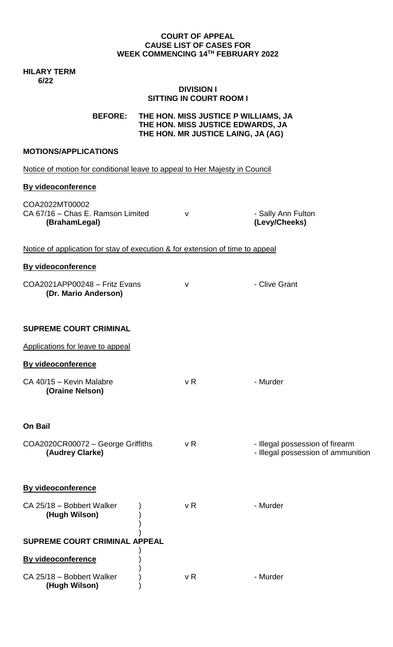#### **COURT OF APPEAL CAUSE LIST OF CASES FOR WEEK COMMENCING 14TH FEBRUARY 2022**

**HILARY TERM 6/22**

### **DIVISION I SITTING IN COURT ROOM I**

**BEFORE: THE HON. MISS JUSTICE P WILLIAMS, JA THE HON. MISS JUSTICE EDWARDS, JA THE HON. MR JUSTICE LAING, JA (AG)**

# **MOTIONS/APPLICATIONS**

Notice of motion for conditional leave to appeal to Her Majesty in Council **By videoconference** COA2022MT00002 CA 67/16 – Chas E. Ramson Limited v can be a sally Ann Fulton **(BrahamLegal) (Levy/Cheeks)** Notice of application for stay of execution & for extension of time to appeal **By videoconference**  COA2021APP00248 – Fritz Evans v v - Clive Grant **(Dr. Mario Anderson) SUPREME COURT CRIMINAL**  Applications for leave to appeal **By videoconference** CA 40/15 – Kevin Malabre v R v R - Murder **(Oraine Nelson) On Bail**  $COA2020CR00072 - George Griffiths$  v R  $\qquad \qquad$  - Illegal possession of firearm **(Audrey Clarke) (Audrey Clarke)**  $\qquad \qquad$  **10.8** Figure 1.1 Figure 1.1 Figure 1.1 Figure 1.1 Figure 1.1 Figure 1.1 Figure 1.1 Figure 1.1 Figure 1.1 Figure 1.1 Figure 1.1 Figure 1.1 Figure 1.1 Figure 1.1 Figure 1.1 Figur **By videoconference**

CA 25/18 – Bobbert Walker ) v R v R - Murder **(Hugh Wilson)** ) ) ) **SUPREME COURT CRIMINAL APPEAL** ) **By videoconference** ) ) CA 25/18 – Bobbert Walker ) v R v R - Murder **(Hugh Wilson)** )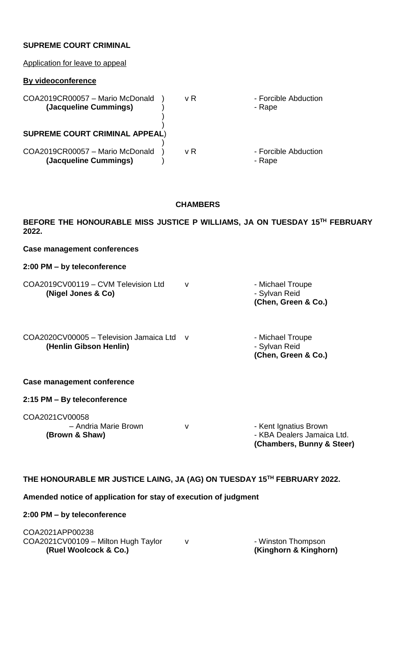### **SUPREME COURT CRIMINAL**

| Application for leave to appeal                          |     |                                |
|----------------------------------------------------------|-----|--------------------------------|
| By videoconference                                       |     |                                |
| COA2019CR00057 - Mario McDonald<br>(Jacqueline Cummings) | v R | - Forcible Abduction<br>- Rape |
| <b>SUPREME COURT CRIMINAL APPEAL)</b>                    |     |                                |
| COA2019CR00057 - Mario McDonald<br>(Jacqueline Cummings) | v R | - Forcible Abduction<br>- Rape |

# **CHAMBERS**

**BEFORE THE HONOURABLE MISS JUSTICE P WILLIAMS, JA ON TUESDAY 15TH FEBRUARY 2022.**

**Case management conferences**

#### **2:00 PM – by teleconference**

|                                     | (Chen, Green & Co.) |
|-------------------------------------|---------------------|
| (Nigel Jones & Co)                  | - Sylvan Reid       |
| COA2019CV00119 - CVM Television Ltd | - Michael Troupe    |

COA2020CV00005 - Television Jamaica Ltd v - Michael Troupe **(Henlin Gibson Henlin)** - Sylvan Reid

**(Chen, Green & Co.)** 

#### **Case management conference**

### **2:15 PM – By teleconference**

COA2021CV00058 – Andria Marie Brown v v v · Kent Ignatius Brown **(Brown & Shaw) Contract Contract Contract Contract Contract Contract Contract Contract Contract Contract Contract Contract Contract Contract Contract Contract Contract Contract Contract Contract Contract Contract Contra** 

**(Chambers, Bunny & Steer)**

# **THE HONOURABLE MR JUSTICE LAING, JA (AG) ON TUESDAY 15TH FEBRUARY 2022.**

# **Amended notice of application for stay of execution of judgment**

# **2:00 PM – by teleconference**

| (Ruel Woolcock & Co.)               | (Kinghorn & Kinghorn) |
|-------------------------------------|-----------------------|
| COA2021CV00109 - Milton Hugh Taylor | - Winston Thompson    |
| COA2021APP00238                     |                       |